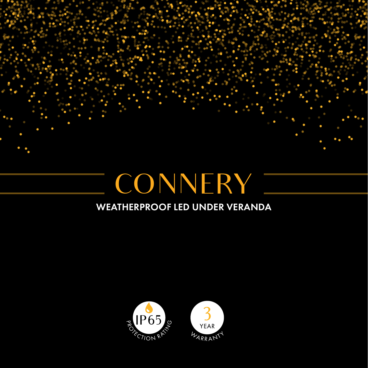

## WEATHERPROOF LED UNDER VERANDA